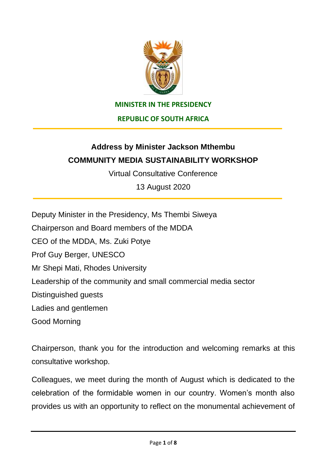

## **MINISTER IN THE PRESIDENCY**

**REPUBLIC OF SOUTH AFRICA**

## **Address by Minister Jackson Mthembu COMMUNITY MEDIA SUSTAINABILITY WORKSHOP**

Virtual Consultative Conference

13 August 2020

Deputy Minister in the Presidency, Ms Thembi Siweya Chairperson and Board members of the MDDA CEO of the MDDA, Ms. Zuki Potye Prof Guy Berger, UNESCO Mr Shepi Mati, Rhodes University Leadership of the community and small commercial media sector Distinguished guests Ladies and gentlemen Good Morning

Chairperson, thank you for the introduction and welcoming remarks at this consultative workshop.

Colleagues, we meet during the month of August which is dedicated to the celebration of the formidable women in our country. Women's month also provides us with an opportunity to reflect on the monumental achievement of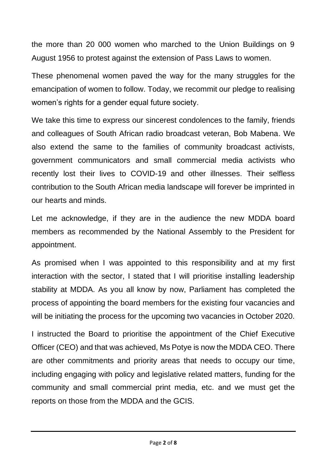the more than 20 000 women who marched to the Union Buildings on 9 August 1956 to protest against the extension of Pass Laws to women.

These phenomenal women paved the way for the many struggles for the emancipation of women to follow. Today, we recommit our pledge to realising women's rights for a gender equal future society.

We take this time to express our sincerest condolences to the family, friends and colleagues of South African radio broadcast veteran, Bob Mabena. We also extend the same to the families of community broadcast activists, government communicators and small commercial media activists who recently lost their lives to COVID-19 and other illnesses. Their selfless contribution to the South African media landscape will forever be imprinted in our hearts and minds.

Let me acknowledge, if they are in the audience the new MDDA board members as recommended by the National Assembly to the President for appointment.

As promised when I was appointed to this responsibility and at my first interaction with the sector, I stated that I will prioritise installing leadership stability at MDDA. As you all know by now, Parliament has completed the process of appointing the board members for the existing four vacancies and will be initiating the process for the upcoming two vacancies in October 2020.

I instructed the Board to prioritise the appointment of the Chief Executive Officer (CEO) and that was achieved, Ms Potye is now the MDDA CEO. There are other commitments and priority areas that needs to occupy our time, including engaging with policy and legislative related matters, funding for the community and small commercial print media, etc. and we must get the reports on those from the MDDA and the GCIS.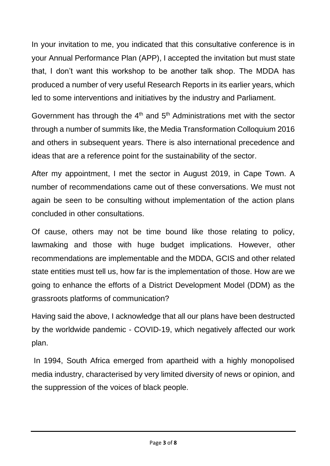In your invitation to me, you indicated that this consultative conference is in your Annual Performance Plan (APP), I accepted the invitation but must state that, I don't want this workshop to be another talk shop. The MDDA has produced a number of very useful Research Reports in its earlier years, which led to some interventions and initiatives by the industry and Parliament.

Government has through the  $4<sup>th</sup>$  and  $5<sup>th</sup>$  Administrations met with the sector through a number of summits like, the Media Transformation Colloquium 2016 and others in subsequent years. There is also international precedence and ideas that are a reference point for the sustainability of the sector.

After my appointment, I met the sector in August 2019, in Cape Town. A number of recommendations came out of these conversations. We must not again be seen to be consulting without implementation of the action plans concluded in other consultations.

Of cause, others may not be time bound like those relating to policy, lawmaking and those with huge budget implications. However, other recommendations are implementable and the MDDA, GCIS and other related state entities must tell us, how far is the implementation of those. How are we going to enhance the efforts of a District Development Model (DDM) as the grassroots platforms of communication?

Having said the above, I acknowledge that all our plans have been destructed by the worldwide pandemic - COVID-19, which negatively affected our work plan.

In 1994, South Africa emerged from apartheid with a highly monopolised media industry, characterised by very limited diversity of news or opinion, and the suppression of the voices of black people.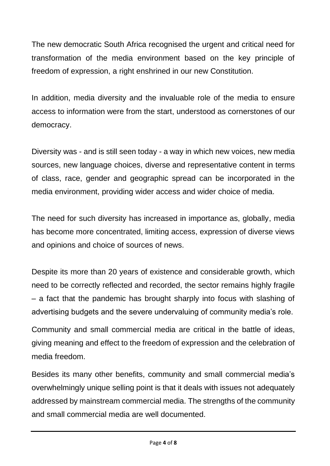The new democratic South Africa recognised the urgent and critical need for transformation of the media environment based on the key principle of freedom of expression, a right enshrined in our new Constitution.

In addition, media diversity and the invaluable role of the media to ensure access to information were from the start, understood as cornerstones of our democracy.

Diversity was - and is still seen today - a way in which new voices, new media sources, new language choices, diverse and representative content in terms of class, race, gender and geographic spread can be incorporated in the media environment, providing wider access and wider choice of media.

The need for such diversity has increased in importance as, globally, media has become more concentrated, limiting access, expression of diverse views and opinions and choice of sources of news.

Despite its more than 20 years of existence and considerable growth, which need to be correctly reflected and recorded, the sector remains highly fragile – a fact that the pandemic has brought sharply into focus with slashing of advertising budgets and the severe undervaluing of community media's role.

Community and small commercial media are critical in the battle of ideas, giving meaning and effect to the freedom of expression and the celebration of media freedom.

Besides its many other benefits, community and small commercial media's overwhelmingly unique selling point is that it deals with issues not adequately addressed by mainstream commercial media. The strengths of the community and small commercial media are well documented.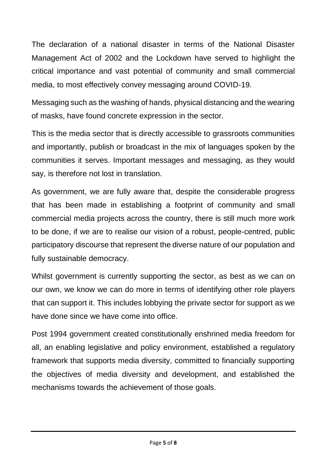The declaration of a national disaster in terms of the National Disaster Management Act of 2002 and the Lockdown have served to highlight the critical importance and vast potential of community and small commercial media, to most effectively convey messaging around COVID-19.

Messaging such as the washing of hands, physical distancing and the wearing of masks, have found concrete expression in the sector.

This is the media sector that is directly accessible to grassroots communities and importantly, publish or broadcast in the mix of languages spoken by the communities it serves. Important messages and messaging, as they would say, is therefore not lost in translation.

As government, we are fully aware that, despite the considerable progress that has been made in establishing a footprint of community and small commercial media projects across the country, there is still much more work to be done, if we are to realise our vision of a robust, people-centred, public participatory discourse that represent the diverse nature of our population and fully sustainable democracy.

Whilst government is currently supporting the sector, as best as we can on our own, we know we can do more in terms of identifying other role players that can support it. This includes lobbying the private sector for support as we have done since we have come into office.

Post 1994 government created constitutionally enshrined media freedom for all, an enabling legislative and policy environment, established a regulatory framework that supports media diversity, committed to financially supporting the objectives of media diversity and development, and established the mechanisms towards the achievement of those goals.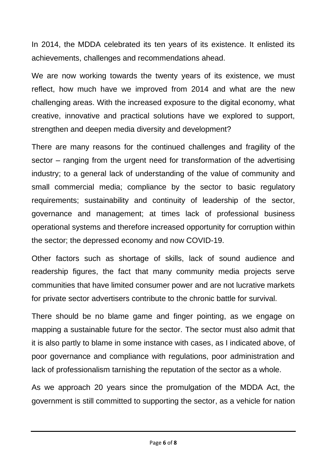In 2014, the MDDA celebrated its ten years of its existence. It enlisted its achievements, challenges and recommendations ahead.

We are now working towards the twenty years of its existence, we must reflect, how much have we improved from 2014 and what are the new challenging areas. With the increased exposure to the digital economy, what creative, innovative and practical solutions have we explored to support, strengthen and deepen media diversity and development?

There are many reasons for the continued challenges and fragility of the sector – ranging from the urgent need for transformation of the advertising industry; to a general lack of understanding of the value of community and small commercial media; compliance by the sector to basic regulatory requirements; sustainability and continuity of leadership of the sector, governance and management; at times lack of professional business operational systems and therefore increased opportunity for corruption within the sector; the depressed economy and now COVID-19.

Other factors such as shortage of skills, lack of sound audience and readership figures, the fact that many community media projects serve communities that have limited consumer power and are not lucrative markets for private sector advertisers contribute to the chronic battle for survival.

There should be no blame game and finger pointing, as we engage on mapping a sustainable future for the sector. The sector must also admit that it is also partly to blame in some instance with cases, as I indicated above, of poor governance and compliance with regulations, poor administration and lack of professionalism tarnishing the reputation of the sector as a whole.

As we approach 20 years since the promulgation of the MDDA Act, the government is still committed to supporting the sector, as a vehicle for nation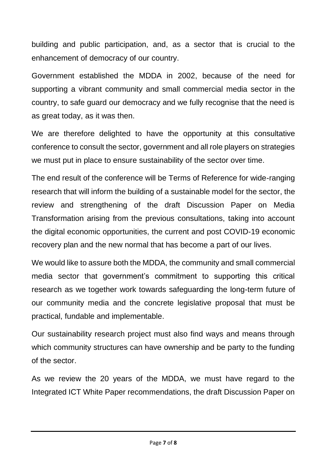building and public participation, and, as a sector that is crucial to the enhancement of democracy of our country.

Government established the MDDA in 2002, because of the need for supporting a vibrant community and small commercial media sector in the country, to safe guard our democracy and we fully recognise that the need is as great today, as it was then.

We are therefore delighted to have the opportunity at this consultative conference to consult the sector, government and all role players on strategies we must put in place to ensure sustainability of the sector over time.

The end result of the conference will be Terms of Reference for wide-ranging research that will inform the building of a sustainable model for the sector, the review and strengthening of the draft Discussion Paper on Media Transformation arising from the previous consultations, taking into account the digital economic opportunities, the current and post COVID-19 economic recovery plan and the new normal that has become a part of our lives.

We would like to assure both the MDDA, the community and small commercial media sector that government's commitment to supporting this critical research as we together work towards safeguarding the long-term future of our community media and the concrete legislative proposal that must be practical, fundable and implementable.

Our sustainability research project must also find ways and means through which community structures can have ownership and be party to the funding of the sector.

As we review the 20 years of the MDDA, we must have regard to the Integrated ICT White Paper recommendations, the draft Discussion Paper on